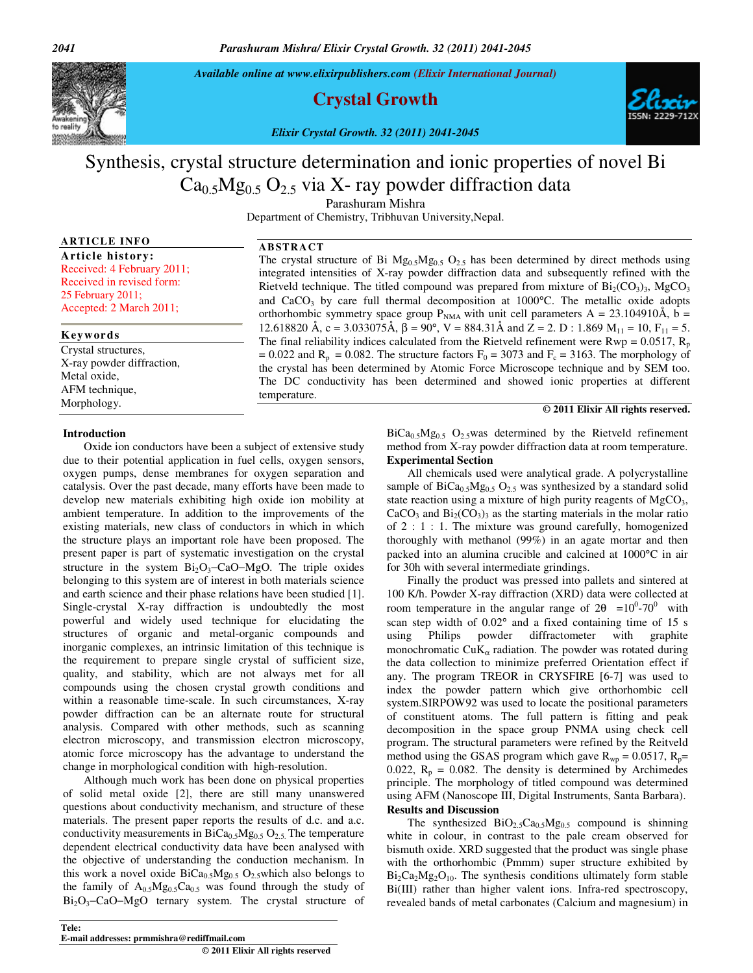*Available online at www.elixirpublishers.com (Elixir International Journal)* 

**Crystal Growth** 

*Elixir Crystal Growth. 32 (2011) 2041-2045*

# Synthesis, crystal structure determination and ionic properties of novel Bi  $Ca<sub>0.5</sub>Mg<sub>0.5</sub> O<sub>2.5</sub>$  via X- ray powder diffraction data

Parashuram Mishra

Department of Chemistry, Tribhuvan University,Nepal.

### **ARTICLE INFO**

**Article history:**  Received: 4 February 2011; Received in revised form: 25 February 2011; Accepted: 2 March 2011;

#### **Keywords**

Crystal structures, X-ray powder diffraction, Metal oxide, AFM technique, Morphology.

#### **AB STRACT**

The crystal structure of Bi  $Mg_{0.5}Mg_{0.5}O_{2.5}$  has been determined by direct methods using integrated intensities of X-ray powder diffraction data and subsequently refined with the Rietveld technique. The titled compound was prepared from mixture of  $Bi_2(CO_3)$ <sub>3</sub>, MgCO<sub>3</sub> and  $CaCO<sub>3</sub>$  by care full thermal decomposition at 1000 $^{\circ}$ C. The metallic oxide adopts orthorhombic symmetry space group  $P_{NMA}$  with unit cell parameters A = 23.104910Å, b = 12.618820 Å, c = 3.033075Å, β = 90°, V = 884.31Å and Z = 2. D : 1.869 M<sub>11</sub> = 10, F<sub>11</sub> = 5. The final reliability indices calculated from the Rietveld refinement were  $Rwp = 0.0517$ ,  $R_p$ = 0.022 and  $R_p$  = 0.082. The structure factors  $F_0$  = 3073 and  $F_c$  = 3163. The morphology of the crystal has been determined by Atomic Force Microscope technique and by SEM too. The DC conductivity has been determined and showed ionic properties at different temperature.

#### **© 2011 Elixir All rights reserved.**

#### **Introduction**

Oxide ion conductors have been a subject of extensive study due to their potential application in fuel cells, oxygen sensors, oxygen pumps, dense membranes for oxygen separation and catalysis. Over the past decade, many efforts have been made to develop new materials exhibiting high oxide ion mobility at ambient temperature. In addition to the improvements of the existing materials, new class of conductors in which in which the structure plays an important role have been proposed. The present paper is part of systematic investigation on the crystal structure in the system  $Bi_2O_3$ -CaO–MgO. The triple oxides belonging to this system are of interest in both materials science and earth science and their phase relations have been studied [1]. Single-crystal X-ray diffraction is undoubtedly the most powerful and widely used technique for elucidating the structures of organic and metal-organic compounds and inorganic complexes, an intrinsic limitation of this technique is the requirement to prepare single crystal of sufficient size, quality, and stability, which are not always met for all compounds using the chosen crystal growth conditions and within a reasonable time-scale. In such circumstances, X-ray powder diffraction can be an alternate route for structural analysis. Compared with other methods, such as scanning electron microscopy, and transmission electron microscopy, atomic force microscopy has the advantage to understand the change in morphological condition with high-resolution.

Although much work has been done on physical properties of solid metal oxide [2], there are still many unanswered questions about conductivity mechanism, and structure of these materials. The present paper reports the results of d.c. and a.c. conductivity measurements in  $BiCa<sub>0.5</sub>Mg<sub>0.5</sub>O<sub>2.5</sub>$ . The temperature dependent electrical conductivity data have been analysed with the objective of understanding the conduction mechanism. In this work a novel oxide  $BiCa<sub>0.5</sub>Mg<sub>0.5</sub> O<sub>2.5</sub>$  which also belongs to the family of  $A_{0.5}Mg_{0.5}Ca_{0.5}$  was found through the study of Bi2O3−CaO−MgO ternary system. The crystal structure of

**Tele: E-mail addresses: prmmishra@rediffmail.com** 

 **© 2011 Elixir All rights reserved** 

### $BiCa<sub>0.5</sub>Mg<sub>0.5</sub>$  O<sub>2.5</sub>was determined by the Rietveld refinement method from X-ray powder diffraction data at room temperature.

**Experimental Section**  All chemicals used were analytical grade. A polycrystalline sample of  $BiCa<sub>0.5</sub>Mg<sub>0.5</sub>O<sub>2.5</sub>$  was synthesized by a standard solid state reaction using a mixture of high purity reagents of  $MgCO<sub>3</sub>$ ,  $CaCO<sub>3</sub>$  and  $Bi<sub>2</sub>(CO<sub>3</sub>)<sub>3</sub>$  as the starting materials in the molar ratio of 2 : 1 : 1. The mixture was ground carefully, homogenized thoroughly with methanol (99%) in an agate mortar and then packed into an alumina crucible and calcined at 1000°C in air

for 30h with several intermediate grindings. Finally the product was pressed into pallets and sintered at 100 K/h. Powder X-ray diffraction (XRD) data were collected at room temperature in the angular range of  $2\theta = 10^{0} - 70^{0}$  with scan step width of 0.02° and a fixed containing time of 15 s using Philips powder diffractometer with graphite monochromatic  $CuK_\alpha$  radiation. The powder was rotated during the data collection to minimize preferred Orientation effect if any. The program TREOR in CRYSFIRE [6-7] was used to index the powder pattern which give orthorhombic cell system.SIRPOW92 was used to locate the positional parameters of constituent atoms. The full pattern is fitting and peak decomposition in the space group PNMA using check cell program. The structural parameters were refined by the Reitveld method using the GSAS program which gave  $R_{wp} = 0.0517$ ,  $R_p =$ 0.022,  $R_p = 0.082$ . The density is determined by Archimedes principle. The morphology of titled compound was determined using AFM (Nanoscope III, Digital Instruments, Santa Barbara). **Results and Discussion** 

The synthesized  $BiO_{2.5}Ca_{0.5}Mg_{0.5}$  compound is shinning white in colour, in contrast to the pale cream observed for bismuth oxide. XRD suggested that the product was single phase with the orthorhombic (Pmmm) super structure exhibited by  $Bi_2Ca_2Mg_2O_{10}$ . The synthesis conditions ultimately form stable Bi(III) rather than higher valent ions. Infra-red spectroscopy, revealed bands of metal carbonates (Calcium and magnesium) in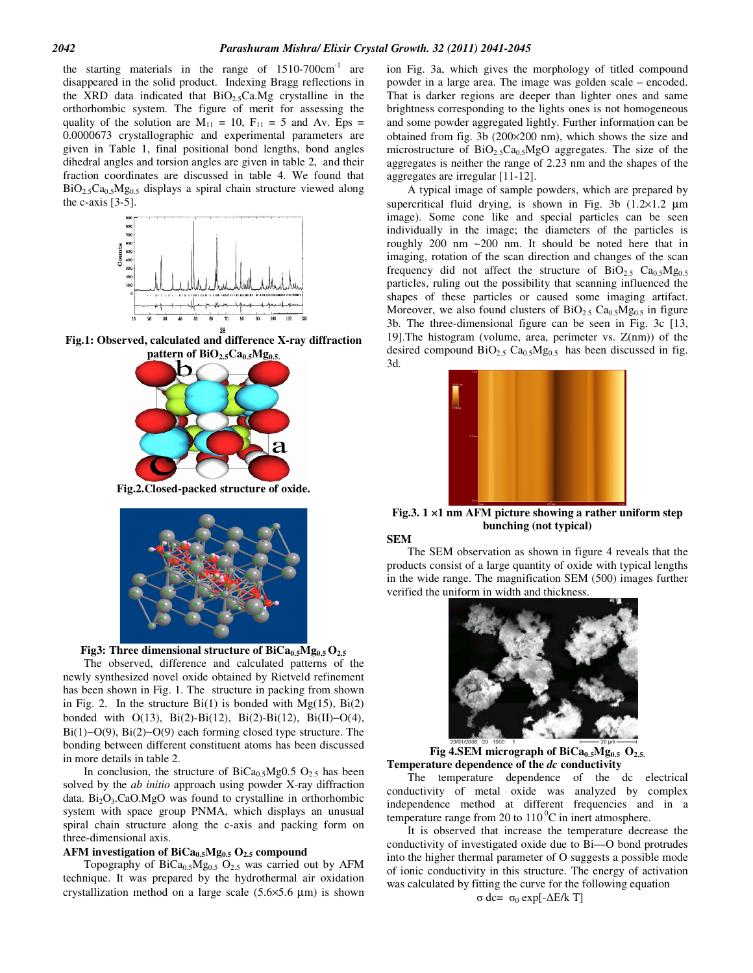the starting materials in the range of  $1510-700 \text{cm}^{-1}$  are disappeared in the solid product. Indexing Bragg reflections in the XRD data indicated that  $BiO<sub>2.5</sub>Ca.Mg$  crystalline in the orthorhombic system. The figure of merit for assessing the quality of the solution are  $M_{11} = 10$ ,  $F_{11} = 5$  and Av. Eps = 0.0000673 crystallographic and experimental parameters are given in Table 1, final positional bond lengths, bond angles dihedral angles and torsion angles are given in table 2, and their fraction coordinates are discussed in table 4. We found that  $BiO_{2.5}Ca_{0.5}Mg_{0.5}$  displays a spiral chain structure viewed along the c-axis  $[3-5]$ .



**Fig.1: Observed, calculated and difference X-ray diffraction pattern of BiO2.5Ca0.5Mg0.5.**



**Fig.2.Closed-packed structure of oxide.** 





The observed, difference and calculated patterns of the newly synthesized novel oxide obtained by Rietveld refinement has been shown in Fig. 1. The structure in packing from shown in Fig. 2. In the structure  $Bi(1)$  is bonded with  $Mg(15)$ ,  $Bi(2)$ bonded with O(13), Bi(2)-Bi(12), Bi(2)-Bi(12), Bi(II)−O(4), Bi(1)−O(9), Bi(2)−O(9) each forming closed type structure. The bonding between different constituent atoms has been discussed in more details in table 2.

In conclusion, the structure of  $BiCa<sub>0.5</sub>Mg0.5 O<sub>2.5</sub>$  has been solved by the *ab initio* approach using powder X-ray diffraction data.  $Bi<sub>2</sub>O<sub>3</sub>$ .CaO.MgO was found to crystalline in orthorhombic system with space group PNMA, which displays an unusual spiral chain structure along the c-axis and packing form on three-dimensional axis.

#### **AFM investigation of BiCa0.5Mg0.5 O2.5 compound**

Topography of  $BiCa<sub>0.5</sub>Mg<sub>0.5</sub> O<sub>2.5</sub>$  was carried out by AFM technique. It was prepared by the hydrothermal air oxidation crystallization method on a large scale  $(5.6 \times 5.6 \mu m)$  is shown ion Fig. 3a, which gives the morphology of titled compound powder in a large area. The image was golden scale – encoded. That is darker regions are deeper than lighter ones and same brightness corresponding to the lights ones is not homogeneous and some powder aggregated lightly. Further information can be obtained from fig. 3b (200×200 nm), which shows the size and microstructure of  $BiO<sub>2.5</sub>Ca<sub>0.5</sub>MgO$  aggregates. The size of the aggregates is neither the range of 2.23 nm and the shapes of the aggregates are irregular [11-12].

A typical image of sample powders, which are prepared by supercritical fluid drying, is shown in Fig. 3b  $(1.2 \times 1.2 \mu m)$ image). Some cone like and special particles can be seen individually in the image; the diameters of the particles is roughly 200 nm ~200 nm. It should be noted here that in imaging, rotation of the scan direction and changes of the scan frequency did not affect the structure of  $BiO_{2.5}$   $Ca<sub>0.5</sub>Mg<sub>0.5</sub>$ particles, ruling out the possibility that scanning influenced the shapes of these particles or caused some imaging artifact. Moreover, we also found clusters of  $BiO_{2.5} Ca_{0.5} Mg_{0.5}$  in figure 3b. The three-dimensional figure can be seen in Fig. 3c [13, 19].The histogram (volume, area, perimeter vs. Z(nm)) of the desired compound  $BiO_{2.5}$  Ca<sub>0.5</sub>Mg<sub>0.5</sub> has been discussed in fig. 3d.



**Fig.3. 1 ×1 nm AFM picture showing a rather uniform step bunching (not typical)** 

**SEM** 

The SEM observation as shown in figure 4 reveals that the products consist of a large quantity of oxide with typical lengths in the wide range. The magnification SEM (500) images further verified the uniform in width and thickness.



**Fig 4.SEM micrograph of BiCa<sub>0.5</sub>Mg<sub>0.5</sub>**  $O_{2.5}$ **. Temperature dependence of the** *dc* **conductivity** 

The temperature dependence of the dc electrical conductivity of metal oxide was analyzed by complex independence method at different frequencies and in a temperature range from 20 to  $110<sup>0</sup>C$  in inert atmosphere.

It is observed that increase the temperature decrease the conductivity of investigated oxide due to Bi—O bond protrudes into the higher thermal parameter of O suggests a possible mode of ionic conductivity in this structure. The energy of activation was calculated by fitting the curve for the following equation

 $\sigma$  dc=  $\sigma_0$  exp[-ΔE/k T]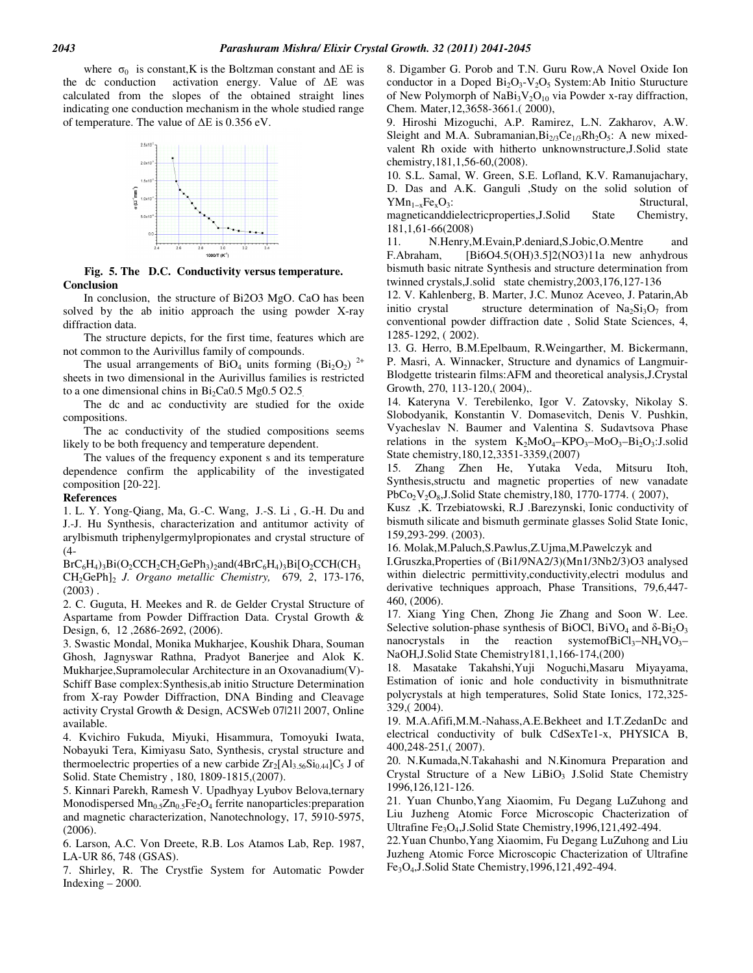where  $\sigma_0$  is constant,K is the Boltzman constant and ∆E is the dc conduction activation energy. Value of ∆Е was calculated from the slopes of the obtained straight lines indicating one conduction mechanism in the whole studied range of temperature. The value of ∆Е is 0.356 eV.



**Fig. 5. The D.C. Conductivity versus temperature. Conclusion** 

In conclusion, the structure of Bi2O3 MgO. CaO has been solved by the ab initio approach the using powder X-ray diffraction data.

The structure depicts, for the first time, features which are not common to the Aurivillus family of compounds.

The usual arrangements of  $\overline{BiO_4}$  units forming  $\overline{(Bi_2O_2)}^{2+}$ sheets in two dimensional in the Aurivillus families is restricted to a one dimensional chins in  $Bi<sub>2</sub>Ca0.5 Mg0.5 O2.5$ .

The dc and ac conductivity are studied for the oxide compositions.

The ac conductivity of the studied compositions seems likely to be both frequency and temperature dependent.

The values of the frequency exponent s and its temperature dependence confirm the applicability of the investigated composition [20-22].

#### **References**

1. L. Y. Yong-Qiang, Ma, G.-C. Wang, J.-S. Li , G.-H. Du and J.-J. Hu Synthesis, characterization and antitumor activity of arylbismuth triphenylgermylpropionates and crystal structure of (4-

 $BrC_6H_4$ )<sub>3</sub>Bi(O<sub>2</sub>CCH<sub>2</sub>CH<sub>2</sub>GePh<sub>3</sub>)<sub>2</sub>and(4BrC<sub>6</sub>H<sub>4</sub>)<sub>3</sub>Bi[O<sub>2</sub>CCH(CH<sub>3</sub> CH2GePh]<sup>2</sup> *J. Organo metallic Chemistry,* 679*, 2*, 173-176,  $(2003)$ .

2. C. Guguta, H. Meekes and R. de Gelder Crystal Structure of Aspartame from Powder Diffraction Data. Crystal Growth & Design, 6, 12 ,2686-2692, (2006).

3. Swastic Mondal, Monika Mukharjee, Koushik Dhara, Souman Ghosh, Jagnyswar Rathna, Pradyot Banerjee and Alok K. Mukharjee,Supramolecular Architecture in an Oxovanadium(V)- Schiff Base complex:Synthesis,ab initio Structure Determination from X-ray Powder Diffraction, DNA Binding and Cleavage activity Crystal Growth & Design, ACSWeb 07|21| 2007, Online available.

4. Kvichiro Fukuda, Miyuki, Hisammura, Tomoyuki Iwata, Nobayuki Tera, Kimiyasu Sato, Synthesis, crystal structure and thermoelectric properties of a new carbide  $Zr_2[A]_{3.56}Si_{0.44}]C_5$  J of Solid. State Chemistry , 180, 1809-1815,(2007).

5. Kinnari Parekh, Ramesh V. Upadhyay Lyubov Belova,ternary Monodispersed  $Mn_{0.5}Zn_{0.5}Fe<sub>2</sub>O<sub>4</sub>$  ferrite nanoparticles: preparation and magnetic characterization, Nanotechnology, 17, 5910-5975, (2006).

6. Larson, A.C. Von Dreete, R.B. Los Atamos Lab, Rep. 1987, LA-UR 86, 748 (GSAS).

7. Shirley, R. The Crystfie System for Automatic Powder  $Indexing - 2000$ .

8. Digamber G. Porob and T.N. Guru Row,A Novel Oxide Ion conductor in a Doped  $Bi<sub>2</sub>O<sub>3</sub>-V<sub>2</sub>O<sub>5</sub>$  System:Ab Initio Sturucture of New Polymorph of  $NaBi<sub>3</sub>V<sub>2</sub>O<sub>10</sub>$  via Powder x-ray diffraction, Chem. Mater,12,3658-3661.( 2000),

9. Hiroshi Mizoguchi, A.P. Ramirez, L.N. Zakharov, A.W. Sleight and M.A. Subramanian,  $Bi_{2/3}Ce_{1/3}Rh_2O_5$ : A new mixedvalent Rh oxide with hitherto unknownstructure,J.Solid state chemistry,181,1,56-60,(2008).

10. S.L. Samal, W. Green, S.E. Lofland, K.V. Ramanujachary, D. Das and A.K. Ganguli ,Study on the solid solution of  $YMn_{1-x}Fe_xO_3$ : Structural,

magneticanddielectricproperties,J.Solid State Chemistry, 181,1,61-66(2008)

11. N.Henry,M.Evain,P.deniard,S.Jobic,O.Mentre and F.Abraham, [Bi6O4.5(OH)3.5]2(NO3)11a new anhydrous bismuth basic nitrate Synthesis and structure determination from twinned crystals,J.solid state chemistry,2003,176,127-136

12. V. Kahlenberg, B. Marter, J.C. Munoz Aceveo, J. Patarin,Ab initio crystal structure determination of  $Na<sub>2</sub>Si<sub>3</sub>O<sub>7</sub>$  from conventional powder diffraction date , Solid State Sciences, 4, 1285-1292, ( 2002).

13. G. Herro, B.M.Epelbaum, R.Weingarther, M. Bickermann, P. Masri, A. Winnacker, Structure and dynamics of Langmuir-Blodgette tristearin films:AFM and theoretical analysis,J.Crystal Growth, 270, 113-120,( 2004),.

14. Kateryna V. Terebilenko, Igor V. Zatovsky, Nikolay S. Slobodyanik, Konstantin V. Domasevitch, Denis V. Pushkin, Vyacheslav N. Baumer and Valentina S. Sudavtsova Phase relations in the system  $K_2MoO_4-KPO_3-M_0O_3-Bi_2O_3:J. \text{solid}$ State chemistry,180,12,3351-3359,(2007)

15. Zhang Zhen He, Yutaka Veda, Mitsuru Itoh, Synthesis,structu and magnetic properties of new vanadate PbCo<sub>2</sub>V<sub>2</sub>O<sub>8</sub>,J.Solid State chemistry, 180, 1770-1774. (2007),

Kusz ,K. Trzebiatowski, R.J .Barezynski, Ionic conductivity of bismuth silicate and bismuth germinate glasses Solid State Ionic, 159,293-299. (2003).

16. Molak,M.Paluch,S.Pawlus,Z.Ujma,M.Pawelczyk and

I.Gruszka,Properties of (Bi1/9NA2/3)(Mn1/3Nb2/3)O3 analysed within dielectric permittivity,conductivity,electri modulus and derivative techniques approach, Phase Transitions, 79,6,447- 460, (2006).

17. Xiang Ying Chen, Zhong Jie Zhang and Soon W. Lee. Selective solution-phase synthesis of BiOCl, BiVO<sub>4</sub> and  $\delta$ -Bi<sub>2</sub>O<sub>3</sub> nanocrystals in the reaction systemofBiCl<sub>3</sub>–NH<sub>4</sub>VO<sub>3</sub>– NaOH,J.Solid State Chemistry181,1,166-174,(200)

18. Masatake Takahshi,Yuji Noguchi,Masaru Miyayama, Estimation of ionic and hole conductivity in bismuthnitrate polycrystals at high temperatures, Solid State Ionics, 172,325- 329,( 2004).

19. M.A.Afifi,M.M.-Nahass,A.E.Bekheet and I.T.ZedanDc and electrical conductivity of bulk CdSexTe1-x, PHYSICA B, 400,248-251,( 2007).

20. N.Kumada,N.Takahashi and N.Kinomura Preparation and Crystal Structure of a New LiBiO<sub>3</sub> J.Solid State Chemistry 1996,126,121-126.

21. Yuan Chunbo,Yang Xiaomim, Fu Degang LuZuhong and Liu Juzheng Atomic Force Microscopic Chacterization of Ultrafine Fe<sub>3</sub>O<sub>4</sub>, J. Solid State Chemistry, 1996, 121, 492-494.

22.Yuan Chunbo,Yang Xiaomim, Fu Degang LuZuhong and Liu Juzheng Atomic Force Microscopic Chacterization of Ultrafine Fe3O4,J.Solid State Chemistry,1996,121,492-494.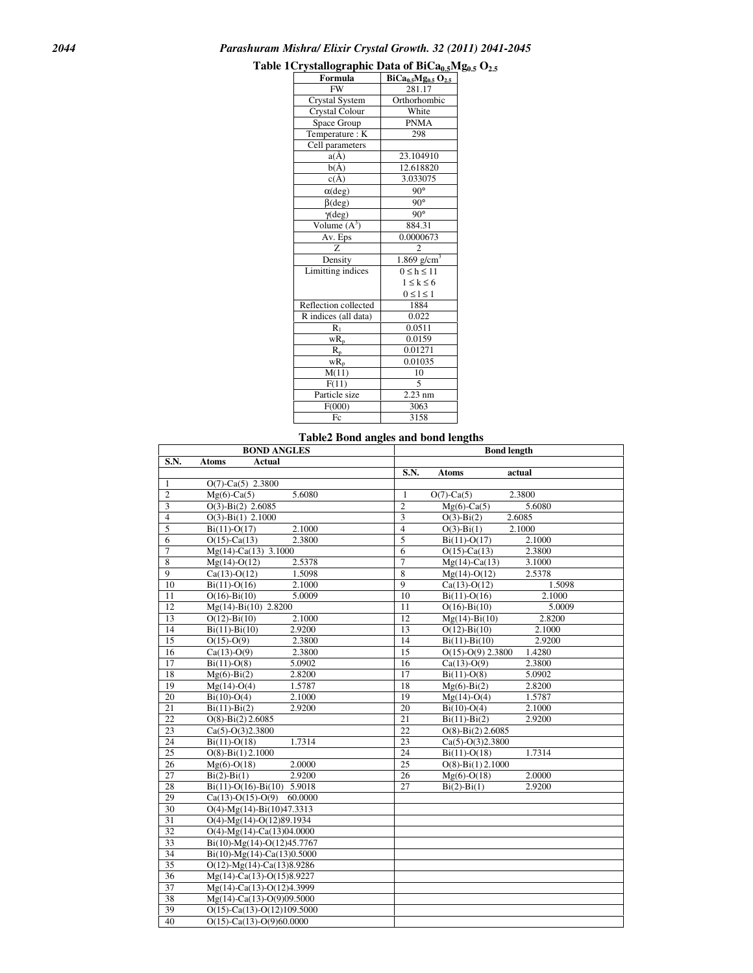### *2044 Parashuram Mishra/ Elixir Crystal Growth. 32 (2011) 2041-2045*

## **Table 1Crystallographic Data of BiCa0.5Mg0.5 O2.5**

| л узинод ирше<br>Formula | $\mathbf{u}$ or $\mathbf{v}$ . $\mathbf{u}$<br>$BiCa0.5Mg0.5O2.5$ |  |  |  |
|--------------------------|-------------------------------------------------------------------|--|--|--|
| <b>FW</b>                | 281.17                                                            |  |  |  |
| Crystal System           | Orthorhombic                                                      |  |  |  |
| <b>Crystal Colour</b>    | White                                                             |  |  |  |
| Space Group              | <b>PNMA</b>                                                       |  |  |  |
| Temperature: K           | 298                                                               |  |  |  |
| Cell parameters          |                                                                   |  |  |  |
| $a(\AA)$                 | 23.104910                                                         |  |  |  |
| $b(\AA)$                 | 12.618820                                                         |  |  |  |
| $c(\AA)$                 | 3.033075                                                          |  |  |  |
| $\alpha$ (deg)           | $90^\circ$                                                        |  |  |  |
| $\beta$ (deg)            | $90^{\circ}$                                                      |  |  |  |
| $\gamma$ (deg)           | $90^\circ$                                                        |  |  |  |
| Volume $(A^3)$           | 884.31                                                            |  |  |  |
| Av. Eps                  | 0.0000673                                                         |  |  |  |
| Z                        | $\overline{c}$                                                    |  |  |  |
| Density                  | $1.869$ $\overline{g/cm^3}$                                       |  |  |  |
| Limitting indices        | $0 \leq h \leq 11$                                                |  |  |  |
|                          | $1 \leq k \leq 6$                                                 |  |  |  |
|                          | $0 \leq l \leq 1$                                                 |  |  |  |
| Reflection collected     | 1884                                                              |  |  |  |
| R indices (all data)     | 0.022                                                             |  |  |  |
| $R_1$                    | 0.0511                                                            |  |  |  |
| $\overline{wR}_p$        | 0.0159                                                            |  |  |  |
| $R_{p}$                  | 0.01271                                                           |  |  |  |
| $\overline{wR_p}$        | 0.01035                                                           |  |  |  |
| M(11)                    | 10                                                                |  |  |  |
| F(11)                    | 5                                                                 |  |  |  |
| Particle size            | $2.23$ nm                                                         |  |  |  |
| F(000)                   | 3063                                                              |  |  |  |
| Fc                       | 3158                                                              |  |  |  |

### **Table2 Bond angles and bond lengths**

|                 | <b>BOND ANGLES</b>                   | <b>Bond length</b>                           |        |  |  |
|-----------------|--------------------------------------|----------------------------------------------|--------|--|--|
| S.N.            | <b>Atoms</b><br>Actual               |                                              |        |  |  |
|                 |                                      | <b>S.N.</b><br><b>Atoms</b><br>actual        |        |  |  |
| 1               | $O(7)$ -Ca $(5)$ 2.3800              |                                              |        |  |  |
| $\overline{2}$  | 5.6080<br>$Mg(6)$ -Ca(5)             | 2.3800<br>$\mathbf{1}$<br>$O(7)$ -Ca $(5)$   |        |  |  |
| $\overline{3}$  | $O(3)$ -Bi(2) 2.6085                 | $\overline{c}$<br>$Mg(6)-Ca(5)$              | 5.6080 |  |  |
| $\overline{4}$  | $O(3)$ -Bi $(1)$ 2.1000              | 3<br>$O(3)$ -Bi $(2)$<br>2.6085              |        |  |  |
| $\overline{5}$  | $Bi(11)-O(17)$<br>2.1000             | $\overline{4}$<br>$O(3)$ -Bi $(1)$<br>2.1000 |        |  |  |
| 6               | 2.3800<br>$O(15)$ -Ca $(13)$         | 5<br>$Bi(11)-O(17)$                          | 2.1000 |  |  |
| $\overline{7}$  | $Mg(14)$ -Ca(13) 3.1000              | 6<br>$O(15)$ -Ca $(13)$                      | 2.3800 |  |  |
| 8               | 2.5378<br>$Mg(14)-O(12)$             | $\overline{7}$<br>$Mg(14)$ -Ca(13)           | 3.1000 |  |  |
| 9               | $Ca(13)-O(12)$<br>1.5098             | $\overline{8}$<br>$Mg(14)-O(12)$             | 2.5378 |  |  |
| 10              | 2.1000<br>$Bi(11)-O(16)$             | $\overline{9}$<br>$Ca(13)-O(12)$             | 1.5098 |  |  |
| $\overline{11}$ | $O(16) - Bi(10)$<br>5.0009           | 10<br>$Bi(11)-O(16)$                         | 2.1000 |  |  |
| 12              | $Mg(14) - Bi(10)$ 2.8200             | $O(16) - Bi(10)$<br>11                       | 5.0009 |  |  |
| 13              | $O(12) - Bi(10)$<br>2.1000           | 12<br>$Mg(14) - Bi(10)$                      | 2.8200 |  |  |
| 14              | $Bi(11) - Bi(10)$<br>2.9200          | 13<br>$O(12) - Bi(10)$                       | 2.1000 |  |  |
| 15              | $O(15)-O(9)$<br>2.3800               | 14<br>$Bi(11)-Bi(10)$                        | 2.9200 |  |  |
| 16              | 2.3800<br>$Ca(13)-O(9)$              | $\overline{15}$<br>$O(15)-O(9)$ 2.3800       | 1.4280 |  |  |
| 17              | 5.0902<br>$Bi(11)-O(8)$              | 16<br>$Ca(13)-O(9)$                          | 2.3800 |  |  |
| 18              | 2.8200<br>$Mg(6)-Bi(2)$              | 17<br>$Bi(11)-O(8)$                          | 5.0902 |  |  |
| 19              | 1.5787<br>$Mg(14)-O(4)$              | 18<br>$Mg(6)-Bi(2)$                          | 2.8200 |  |  |
| 20              | $Bi(10)-O(4)$<br>2.1000              | 19<br>$Mg(14)-O(4)$                          | 1.5787 |  |  |
| 21              | 2.9200<br>$Bi(11) - Bi(2)$           | 20<br>$Bi(10)-O(4)$                          | 2.1000 |  |  |
| $\overline{22}$ | $O(8) - Bi(2) 2.6085$                | 21<br>$Bi(11) - Bi(2)$                       | 2.9200 |  |  |
| 23              | $Ca(5)-O(3)2.3800$                   | $O(8)$ -Bi $(2)$ 2.6085<br>22                |        |  |  |
| 24              | 1.7314<br>$Bi(11)-O(18)$             | 23<br>$Ca(5)-O(3)2.3800$                     |        |  |  |
| 25              | $O(8) - Bi(1) 2.1000$                | 24<br>$Bi(11)-O(18)$                         | 1.7314 |  |  |
| $\overline{26}$ | 2.0000<br>$Mg(6)-O(18)$              | 25<br>$O(8)$ -Bi $(1)$ 2.1000                |        |  |  |
| 27              | 2.9200<br>$Bi(2)-Bi(1)$              | 26<br>$Mg(6)-O(18)$                          | 2.0000 |  |  |
| 28              | $Bi(11)-O(16)-Bi(10)$ 5.9018         | 27<br>$Bi(2)-Bi(1)$                          | 2.9200 |  |  |
| 29              | $Ca(13)-O(15)-O(9)$ 60.0000          |                                              |        |  |  |
| 30              | $O(4)$ -Mg(14)-Bi(10)47.3313         |                                              |        |  |  |
| 31              | $O(4)$ -Mg(14)- $O(12)89.1934$       |                                              |        |  |  |
| 32              | $O(4)$ -Mg(14)-Ca(13)04.0000         |                                              |        |  |  |
| 33              | $Bi(10)-Mg(14)-O(12)45.7767$         |                                              |        |  |  |
| 34              | $Bi(10)$ -Mg(14)-Ca(13)0.5000        |                                              |        |  |  |
| $\overline{35}$ | $O(12)$ -Mg(14)-Ca(13)8.9286         |                                              |        |  |  |
| $\overline{36}$ | Mg(14)-Ca(13)-O(15)8.9227            |                                              |        |  |  |
| $\overline{37}$ | Mg(14)-Ca(13)-O(12)4.3999            |                                              |        |  |  |
| 38              | $Mg(14)$ -Ca(13)-O(9)09.5000         |                                              |        |  |  |
| 39              | $O(15)$ -Ca $(13)$ -O $(12)109.5000$ |                                              |        |  |  |
| 40              | $O(15)$ -Ca $(13)$ -O $(9)$ 60.0000  |                                              |        |  |  |